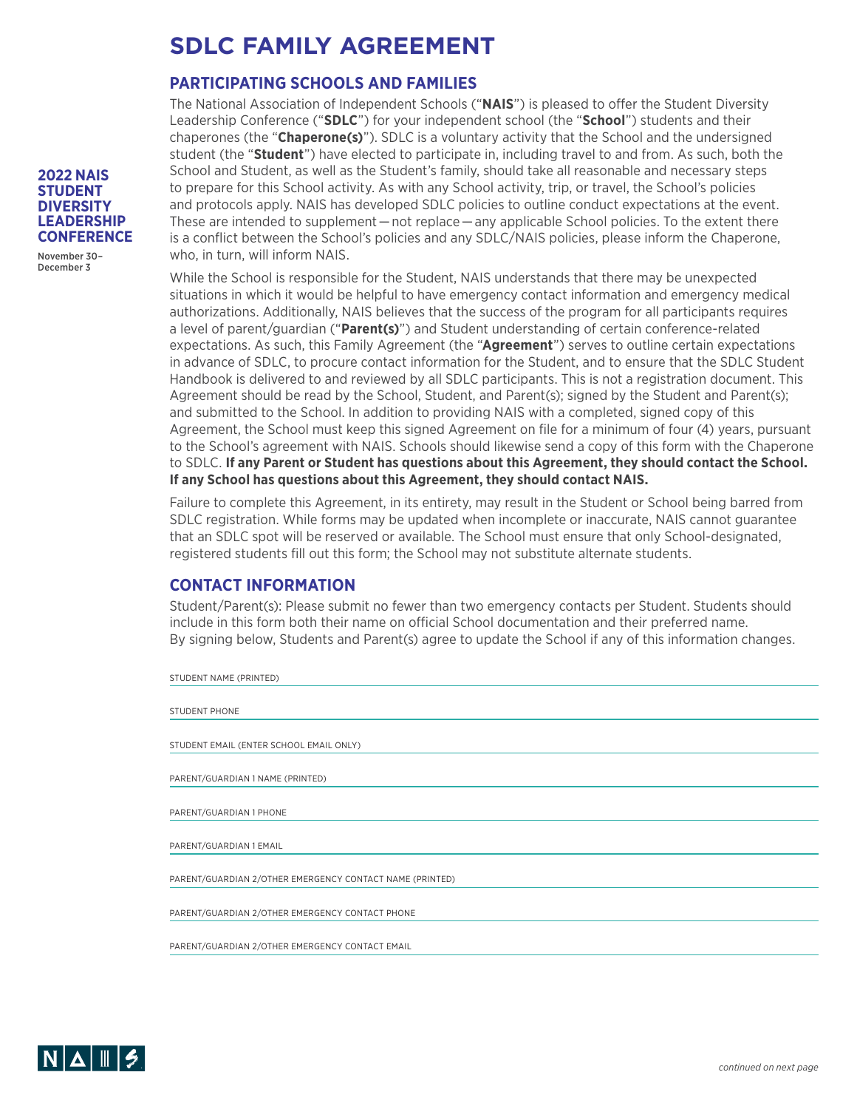# **SDLC FAMILY AGREEMENT**

### **PARTICIPATING SCHOOLS AND FAMILIES**

The National Association of Independent Schools ("**NAIS**") is pleased to offer the Student Diversity Leadership Conference ("**SDLC**") for your independent school (the "**School**") students and their chaperones (the "**Chaperone(s)**"). SDLC is a voluntary activity that the School and the undersigned student (the "**Student**") have elected to participate in, including travel to and from. As such, both the School and Student, as well as the Student's family, should take all reasonable and necessary steps to prepare for this School activity. As with any School activity, trip, or travel, the School's policies and protocols apply. NAIS has developed SDLC policies to outline conduct expectations at the event. These are intended to supplement — not replace — any applicable School policies. To the extent there is a conflict between the School's policies and any SDLC/NAIS policies, please inform the Chaperone, who, in turn, will inform NAIS.

While the School is responsible for the Student, NAIS understands that there may be unexpected situations in which it would be helpful to have emergency contact information and emergency medical authorizations. Additionally, NAIS believes that the success of the program for all participants requires a level of parent/guardian ("**Parent(s)**") and Student understanding of certain conference-related expectations. As such, this Family Agreement (the "**Agreement**") serves to outline certain expectations in advance of SDLC, to procure contact information for the Student, and to ensure that the SDLC Student Handbook is delivered to and reviewed by all SDLC participants. This is not a registration document. This Agreement should be read by the School, Student, and Parent(s); signed by the Student and Parent(s); and submitted to the School. In addition to providing NAIS with a completed, signed copy of this Agreement, the School must keep this signed Agreement on file for a minimum of four (4) years, pursuant to the School's agreement with NAIS. Schools should likewise send a copy of this form with the Chaperone to SDLC. **If any Parent or Student has questions about this Agreement, they should contact the School. If any School has questions about this Agreement, they should contact NAIS.**

Failure to complete this Agreement, in its entirety, may result in the Student or School being barred from SDLC registration. While forms may be updated when incomplete or inaccurate, NAIS cannot guarantee that an SDLC spot will be reserved or available. The School must ensure that only School-designated, registered students fill out this form; the School may not substitute alternate students.

### **CONTACT INFORMATION**

Student/Parent(s): Please submit no fewer than two emergency contacts per Student. Students should include in this form both their name on official School documentation and their preferred name. By signing below, Students and Parent(s) agree to update the School if any of this information changes.

| STUDENT NAME (PRINTED)                                   |
|----------------------------------------------------------|
|                                                          |
| <b>STUDENT PHONE</b>                                     |
|                                                          |
| STUDENT EMAIL (ENTER SCHOOL EMAIL ONLY)                  |
|                                                          |
| PARENT/GUARDIAN 1 NAME (PRINTED)                         |
|                                                          |
| PARENT/GUARDIAN 1 PHONE                                  |
|                                                          |
| PARENT/GUARDIAN 1 EMAIL                                  |
|                                                          |
| PARENT/GUARDIAN 2/OTHER EMERGENCY CONTACT NAME (PRINTED) |
|                                                          |
| PARENT/GUARDIAN 2/OTHER EMERGENCY CONTACT PHONE          |
|                                                          |
| PARENT/GUARDIAN 2/OTHER EMERGENCY CONTACT EMAIL          |
|                                                          |



November 30– December 3

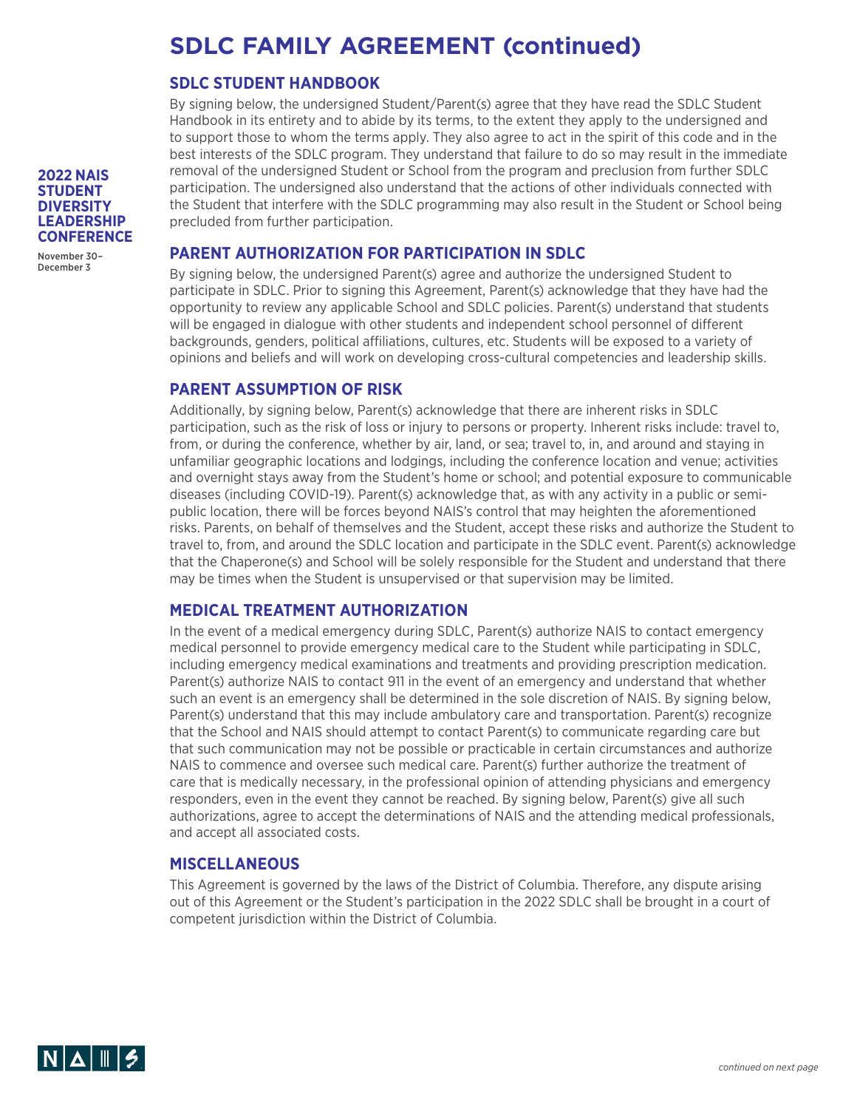# **SDLC FAMILY AGREEMENT (continued)**

### **SDLC STUDENT HANDBOOK**

By signing below, the undersigned Student/Parent(s) agree that they have read the SDLC Student Handbook in its entirety and to abide by its terms, to the extent they apply to the undersigned and to support those to whom the terms apply. They also agree to act in the spirit of this code and in the best interests of the SDLC program. They understand that failure to do so may result in the immediate removal of the undersigned Student or School from the program and preclusion from further SDLC participation. The undersigned also understand that the actions of other individuals connected with the Student that interfere with the SDLC programming may also result in the Student or School being precluded from further participation.

### **PARENT AUTHORIZATION FOR PARTICIPATION IN SDLC**

By signing below, the undersigned Parent(s) agree and authorize the undersigned Student to participate in SDLC. Prior to signing this Agreement, Parent(s) acknowledge that they have had the opportunity to review any applicable School and SDLC policies. Parent(s) understand that students will be engaged in dialogue with other students and independent school personnel of different backgrounds, genders, political affiliations, cultures, etc. Students will be exposed to a variety of opinions and beliefs and will work on developing cross-cultural competencies and leadership skills.

#### **PARENT ASSUMPTION OF RISK**

Additionally, by signing below, Parent(s) acknowledge that there are inherent risks in SDLC participation, such as the risk of loss or injury to persons or property. Inherent risks include: travel to, from, or during the conference, whether by air, land, or sea; travel to, in, and around and staying in unfamiliar geographic locations and lodgings, including the conference location and venue; activities and overnight stays away from the Student's home or school; and potential exposure to communicable diseases (including COVID-19). Parent(s) acknowledge that, as with any activity in a public or semipublic location, there will be forces beyond NAIS's control that may heighten the aforementioned risks. Parents, on behalf of themselves and the Student, accept these risks and authorize the Student to travel to, from, and around the SDLC location and participate in the SDLC event. Parent(s) acknowledge that the Chaperone(s) and School will be solely responsible for the Student and understand that there may be times when the Student is unsupervised or that supervision may be limited.

#### **MEDICAL TREATMENT AUTHORIZATION**

In the event of a medical emergency during SDLC, Parent(s) authorize NAIS to contact emergency medical personnel to provide emergency medical care to the Student while participating in SDLC, including emergency medical examinations and treatments and providing prescription medication. Parent(s) authorize NAIS to contact 911 in the event of an emergency and understand that whether such an event is an emergency shall be determined in the sole discretion of NAIS. By signing below, Parent(s) understand that this may include ambulatory care and transportation. Parent(s) recognize that the School and NAIS should attempt to contact Parent(s) to communicate regarding care but that such communication may not be possible or practicable in certain circumstances and authorize NAIS to commence and oversee such medical care. Parent(s) further authorize the treatment of care that is medically necessary, in the professional opinion of attending physicians and emergency responders, even in the event they cannot be reached. By signing below, Parent(s) give all such authorizations, agree to accept the determinations of NAIS and the attending medical professionals, and accept all associated costs.

#### **MISCELLANEOUS**

This Agreement is governed by the laws of the District of Columbia. Therefore, any dispute arising out of this Agreement or the Student's participation in the 2022 SDLC shall be brought in a court of competent jurisdiction within the District of Columbia.



**STUDENT DIVERSITY LEADERSHIP CONFERENCE**

**2022 NAIS** 

November 30– December 3